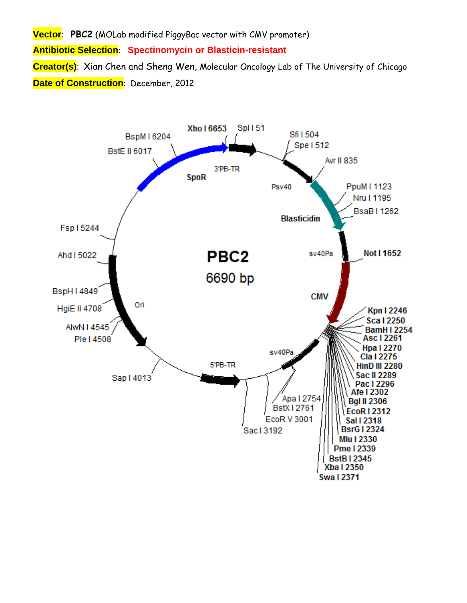**Vector**: **PBC2** (MOLab modified PiggyBac vector with CMV promoter) **Antibiotic Selection**: **Spectinomycin or Blasticin-resistant Creator(s)**: Xian Chen and Sheng Wen, Molecular Oncology Lab of The University of Chicago **Date of Construction**: December, 2012

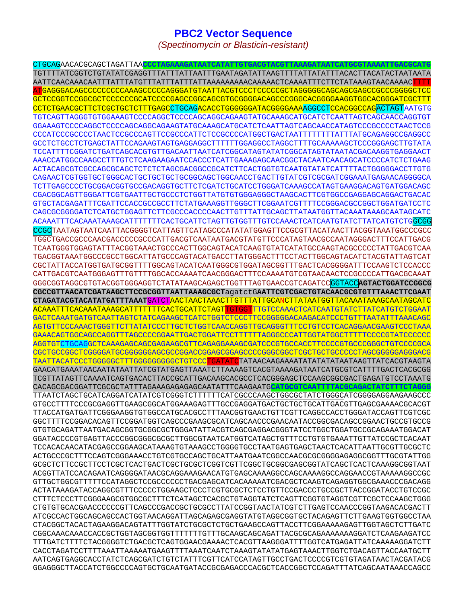## **PBC2 Vector Sequence**

*(Spectinomycin or Blasticin-resistant)* 

CTGCAGAACACGCAGCTAGATTAA**CCCTAGAAAGATAATCATATTGTGACGTACGTTAAAGATAATCATGCGTAAAATTGACGCATG** TGTTTTATCGGTCTGTATATCGAGGTTTATTTATTAATTTGAATAGATATTAAGTTTTATTATATTTACACTTACATACTAATAATA AATTCAACAAACAATTTATTTATGTTTATTTATTTATTAAAAAAAAACAAAAACTCAAAATTTCTTCTATAAAGTAACAAAACTTTT ATGAGGGACAGCCCCCCCCCAAAGCCCCCAGGGATGTAATTACGTCCCTCCCCCGCTAGGGGGCAGCAGCGAGCCGCCCGGGGCTCC GCTCCGGTCCGGCGCTCCCCCCGCATCCCCGAGCCGGCAGCGTGCGGGGACAGCCCGGGCACGGGGAAGGTGGCACGGGATCGCTTT CCTCTGAACGCTTCTCGCTGCTCTTTGAGCCTGCAGACACCTGGGGGGATACGGGGAAAAGGCCTCCACGGCCAGACTAGTAATGTG TGTCAGTTAGGGTGTGGAAAGTCCCCAGGCTCCCCAGCAGGCAGAAGTATGCAAAGCATGCATCTCAATTAGTCAGCAACCAGGTGT GGAAAGTCCCCAGGCTCCCCAGCAGGCAGAAGTATGCAAAGCATGCATCTCAATTAGTCAGCAACCATAGTCCCGCCCCTAACTCCG CCCATCCCGCCCCTAACTCCGCCCAGTTCCGCCCATTCTCCGCCCCATGGCTGACTAATTTTTTTTATTTATGCAGAGGCCGAGGCC GCCTCTGCCTCTGAGCTATTCCAGAAGTAGTGAGGAGGCTTTTTTGGAGGCCTAGGCTTTTGCAAAAAGCTCCCGGGAGCTTGTATA TCCATTTTCGGATCTGATCAGCACGTGTTGACAATTAATCATCGGCATAGTATATCGGCATAGTATAATACGACAAGGTGAGGAACT AAACCATGGCCAAGCCTTTGTCTCAAGAAGAATCCACCCTCATTGAAAGAGCAACGGCTACAATCAACAGCATCCCCATCTCTGAAG ACTACAGCGTCGCCAGCGCAGCTCTCTCTAGCGACGGCCGCATCTTCACTGGTGTCAATGTATATCATTTTACTGGGGGACCTTGTG CAGAACTCGTGGTGCTGGGCACTGCTGCTGCTGCGGCAGCTGGCAACCTGACTTGTATCGTCGCGATCGGAAATGAGAACAGGGGCA TCTTGAGCCCCTGCGGACGGTGCCGACAGGTGCTTCTCGATCTGCATCCTGGGATCAAAGCCATAGTGAAGGACAGTGATGGACAGC CGACGGCAGTTGGGATTCGTGAATTGCTGCCCTCTGGTTATGTGTGGGAGGGCTAAGCACTTCGTGGCCGAGGAGCAGGACTGACAC GTGCTACGAGATTTCGATTCCACCGCCGCCTTCTATGAAAGGTTGGGCTTCGGAATCGTTTTCCGGGACGCCGGCTGGATGATCCTC CAGCGCGGGGATCTCATGCTGGAGTTCTTCGCCCACCCCAACTTGTTTATTGCAGCTTATAATGGTTACAAATAAAGCAATAGCATC ACAAATTTCACAAATAAAGCATTTTTTTCACTGCATTCTAGTTGTGGTTTGTCCAAACTCATCAATGTATCTTATCATGTCTGGCGG CCGCTAATAGTAATCAATTACGGGGTCATTAGTTCATAGCCCATATATGGAGTTCCGCGTTACATAACTTACGGTAAATGGCCCGCC TGGCTGACCGCCCAACGACCCCCGCCCATTGACGTCAATAATGACGTATGTTCCCATAGTAACGCCAATAGGGACTTTCCATTGACG TCAATGGGTGGAGTATTTACGGTAAACTGCCCACTTGGCAGTACATCAAGTGTATCATATGCCAAGTACGCCCCCTATTGACGTCAA TGACGGTAAATGGCCCGCCTGGCATTATGCCCAGTACATGACCTTATGGGACTTTCCTACTTGGCAGTACATCTACGTATTAGTCAT CGCTATTACCATGGTGATGCGGTTTTGGCAGTACATCAATGGGCGTGGATAGCGGTTTGACTCACGGGGATTTCCAAGTCTCCACCC CATTGACGTCAATGGGAGTTTGTTTTGGCACCAAAATCAACGGGACTTTCCAAAATGTCGTAACAACTCCGCCCCATTGACGCAAAT GGGCGGTAGGCGTGTACGGTGGGAGGTCTATATAAGCAGAGCTGGTTTAGTGAACCGTCAGATCCGGTACC**AGTACTGGATCCGGCG CGCCGTTAACATCGATAAGCTTCCGCGGTTAATTAAAGCGCT**agatctG**AATTCGTCGACTGTACAACGCGTGTTTAAACTTCGAAT CTAGATACGTACATATGATTTAAAT**GATCTAACTAACTAAACTTGTTTATTGCANCTTATAATGGTTACAAATAAAGCAATAGCATC ACAAATTTCACAAATAAAGCATTTTTTTCACTGCATTCTAGTTGTGGTTTGTCCAAACTCATCAATGTATCTTATCATGTCTGGAAT GACTCAAATGATGTCAATTAGTCTATCAGAAGCTCATCTGGTCTCCCTTCCGGGGGACAAGACATCCCTGTTTAATATTTAAACAGC AGTGTTCCCAAACTGGGTTCTTATATCCCTTGCTCTGGTCAACCAGGTTGCAGGGTTTCCTGTCCTCACAGGAACGAAGTCCCTAAA GAAACAGTGGCAGCCAGGTTTAGCCCCGGAATTGACTGGATTCCTTTTTTAGGGCCCATTGGTATGGCTTTTTCCCCGTATCCCCCC AGGTGTCTGCAGGCTCAAAGAGCAGCGAGAAGCGTTCAGAGGAAAGCGATCCCGTGCCACCTTCCCCGTGCCCGGGCTGTCCCCGCA CGCTGCCGGCTCGGGGATGCGGGGGGAGCGCCGGACCGGAGCGGAGCCCCGGGCGGCTCGCTGCTGCCCCCTAGCGGGGGAGGGACG TAATTACATCCCTGGGGGCTTTGGGGGGGGGCTGTCCCTGATATCTATAACAAGAAAATATATATATAATAAGTTATCACGTAAGTA GAACATGAAATAACAATATAATTATCGTATGAGTTAAATCTTAAAAGTCACGTAAAAGATAATCATGCGTCATTTTGACTCACGCGG TCGTTATAGTTCAAAATCAGTGACACTTACCGCATTGACAAGCACGCCTCACGGGAGCTCCAAGCGGCGACTGAGATGTCCTAAATG CACAGCGACGGATTCGCGCTATTTAGAAAGAGAGAGCAATATTTCAAGAATG**CATGCGTCAATTTTACGCAGACTATCTTTCTAGGG** TTAATCTAGCTGCATCAGGATCATATCGTCGGGTCTTTTTTCATCGCCCAAGCTGGCGCTATCTGGGCATCGGGGAGGAAGAAGCCC GTGCCTTTTCCCGCGAGGTTGAAGCGGCATGGAAAGAGTTTGCCGAGGATGACTGCTGCTGCATTGACGTTGAGCGAAAACGCACGT TTACCATGATGATTCGGGAAGGTGTGGCCATGCACGCCTTTAACGGTGAACTGTTCGTTCAGGCCACCTGGGATACCAGTTCGTCGC GGCTTTTCCGGACACAGTTCCGGATGGTCAGCCCGAAGCGCATCAGCAACCCGAACAATACCGGCGACAGCCGGAACTGCCGTGCCG GTGTGCAGATTAATGACAGCGGTGCGGCGCTGGGATATTACGTCAGCGAGGACGGGTATCCTGGCTGGATGCCGCAGAAATGGACAT GGATACCCCGTGAGTTACCCGGCGGGCGCGCTTGGCGTAATCATGGTCATAGCTGTTTCCTGTGTGAAATTGTTATCCGCTCACAAT TCCACACAACATACGAGCCGGAAGCATAAAGTGTAAAGCCTGGGGTGCCTAATGAGTGAGCTAACTCACATTAATTGCGTTGCGCTC ACTGCCCGCTTTCCAGTCGGGAAACCTGTCGTGCCAGCTGCATTAATGAATCGGCCAACGCGCGGGGAGAGGCGGTTTGCGTATTGG GCGCTCTTCCGCTTCCTCGCTCACTGACTCGCTGCGCTCGGTCGTTCGGCTGCGGCGAGCGGTATCAGCTCACTCAAAGGCGGTAAT ACGGTTATCCACAGAATCAGGGGATAACGCAGGAAAGAACATGTGAGCAAAAGGCCAGCAAAAGGCCAGGAACCGTAAAAAGGCCGC GTTGCTGGCGTTTTTCCATAGGCTCCGCCCCCCTGACGAGCATCACAAAAATCGACGCTCAAGTCAGAGGTGGCGAAACCCGACAGG ACTATAAAGATACCAGGCGTTTCCCCCTGGAAGCTCCCTCGTGCGCTCTCCTGTTCCGACCCTGCCGCTTACCGGATACCTGTCCGC CTTTCTCCCTTCGGGAAGCGTGGCGCTTTCTCATAGCTCACGCTGTAGGTATCTCAGTTCGGTGTAGGTCGTTCGCTCCAAGCTGGG CTGTGTGCACGAACCCCCCGTTCAGCCCGACCGCTGCGCCTTATCCGGTAACTATCGTCTTGAGTCCAACCCGGTAAGACACGACTT ATCGCCACTGGCAGCAGCCACTGGTAACAGGATTAGCAGAGCGAGGTATGTAGGCGGTGCTACAGAGTTCTTGAAGTGGTGGCCTAA CTACGGCTACACTAGAAGGACAGTATTTGGTATCTGCGCTCTGCTGAAGCCAGTTACCTTCGGAAAAAGAGTTGGTAGCTCTTGATC CGGCAAACAAACCACCGCTGGTAGCGGTGGTTTTTTTGTTTGCAAGCAGCAGATTACGCGCAGAAAAAAAGGATCTCAAGAAGATCC TTTGATCTTTTCTACGGGGTCTGACGCTCAGTGGAACGAAAACTCACGTTAAGGGATTTTGGTCATGAGATTATCAAAAAGGATCTT CACCTAGATCCTTTTAAATTAAAAATGAAGTTTTAAATCAATCTAAAGTATATATGAGTAAACTTGGTCTGACAGTTACCAATGCTT AATCAGTGAGGCACCTATCTCAGCGATCTGTCTATTTCGTTCATCCATAGTTGCCTGACTCCCCGTCGTGTAGATAACTACGATACG GGAGGGCTTACCATCTGGCCCCAGTGCTGCAATGATACCGCGAGACCCACGCTCACCGGCTCCAGATTTATCAGCAATAAACCAGCC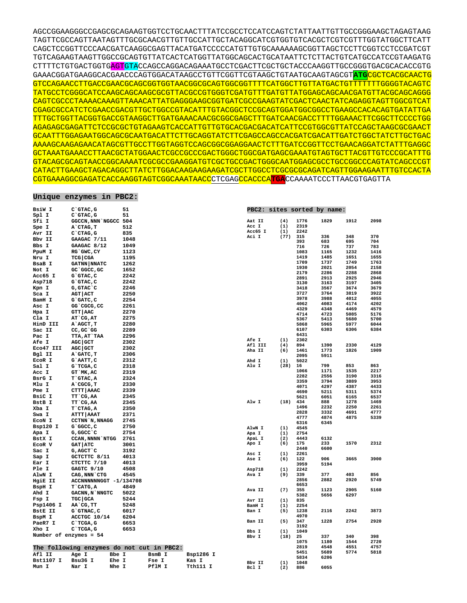AGCCGGAAGGGCCGAGCGCAGAAGTGGTCCTGCAACTTTATCCGCCTCCATCCAGTCTATTAATTGTTGCCGGGAAGCTAGAGTAAG TAGTTCGCCAGTTAATAGTTTGCGCAACGTTGTTGCCATTGCTACAGGCATCGTGGTGTCACGCTCGTCGTTTGGTATGGCTTCATT CAGCTCCGGTTCCCAACGATCAAGGCGAGTTACATGATCCCCCATGTTGTGCAAAAAAGCGGTTAGCTCCTTCGGTCCTCCGATCGT TGTCAGAAGTAAGTTGGCCGCAGTGTTATCACTCATGGTTATGGCAGCACTGCATAATTCTCTTACTGTCATGCCATCCGTAAGATG CTTTTCTGTGACTGGTGAGTGTACCAGCCAGGACAGAAATGCCTCGACTTCGCTGCTACCCAAGGTTGCCGGGTGACGCACACCGTG GAAACGGATGAAGGCACGAACCCAGTGGACATAAGCCTGTTCGGTTCGTAAGCTGTAATGCAAGTAGCGT**ATG**CGCTCACGCAACTG GTCCAGAACCTTGACCGAACGCAGCGGTGGTAACGGCGCAGTGGCGGTTTTCATGGCTTGTTATGACTGTTTTTTTGGGGTACAGTC TATGCCTCGGGCATCCAAGCAGCAAGCGCGTTACGCCGTGGGTCGATGTTTGATGTTATGGAGCAGCAACGATGTTACGCAGCAGGG CAGTCGCCCTAAAACAAAGTTAAACATTATGAGGGAAGCGGTGATCGCCGAAGTATCGACTCAACTATCAGAGGTAGTTGGCGTCAT CGAGCGCCATCTCGAACCGACGTTGCTGGCCGTACATTTGTACGGCTCCGCAGTGGATGGCGGCCTGAAGCCACACAGTGATATTGA TTTGCTGGTTACGGTGACCGTAAGGCTTGATGAAACAACGCGGCGAGCTTTGATCAACGACCTTTTGGAAACTTCGGCTTCCCCTGG AGAGAGCGAGATTCTCCGCGCTGTAGAAGTCACCATTGTTGTGCACGACGACATCATTCCGTGGCGTTATCCAGCTAAGCGCGAACT GCAATTTGGAGAATGGCAGCGCAATGACATTCTTGCAGGTATCTTCGAGCCAGCCACGATCGACATTGATCTGGCTATCTTGCTGAC AAAAGCAAGAGAACATAGCGTTGCCTTGGTAGGTCCAGCGGCGGAGGAACTCTTTGATCCGGTTCCTGAACAGGATCTATTTGAGGC GCTAAATGAAACCTTAACGCTATGGAACTCGCCGCCCGACTGGGCTGGCGATGAGCGAAATGTAGTGCTTACGTTGTCCCGCATTTG GTACAGCGCAGTAACCGGCAAAATCGCGCCGAAGGATGTCGCTGCCGACTGGGCAATGGAGCGCCTGCCGGCCCAGTATCAGCCCGT CATACTTGAAGCTAGACAGGCTTATCTTGGACAAGAAGAAGATCGCTTGGCCTCGCGCGCAGATCAGTTGGAAGAATTTGTCCACTA CGTGAAAGGCGAGATCACCAAGGTAGTCGGCAAATAACCCTCGAGCCACCCA**TGA**CCAAAATCCCTTAACGTGAGTTA

## **Unique enzymes in PBC2:**

| BsiW I                 | C`GTAC, G                                 |       | 51           |        |           |                 |            |              | PBC2: sites sorted by name: |              |              |
|------------------------|-------------------------------------------|-------|--------------|--------|-----------|-----------------|------------|--------------|-----------------------------|--------------|--------------|
| Spl I                  | $C$ GTAC, $G$                             |       | 51           |        |           |                 |            |              |                             |              |              |
| Sfi I                  | GGCCN, NNN NGGCC 504                      |       |              |        |           | Aat II<br>Acc I | (4)<br>(1) | 1776<br>2319 | 1829                        | 1912         | 2098         |
| Spe I                  | A`CTAG, T                                 |       | 512          |        |           | Acc65 I         | (1)        | 2242         |                             |              |              |
| Avr II                 | $C$ $CTAG$ , $G$                          |       | 835          |        |           | Aci I           | (77)       | 315          | 336                         | 348          | 370          |
| Bbv II                 | GAAGAC 7/11                               |       | 1048         |        |           |                 |            | 393          | 683                         | 695          | 704          |
| Bbs I                  | GAAGAC 8/12                               |       | 1049<br>1123 |        |           |                 |            | 716          | 726                         | 737          | 783          |
| PpuM I                 | RG GWC, CY                                |       |              |        |           |                 |            | 1083<br>1419 | 1165<br>1485                | 1232<br>1651 | 1416<br>1655 |
| Nru I<br>BsaB I        | <b>TCG   CGA</b><br><b>GATNN NNATC</b>    |       | 1195<br>1262 |        |           |                 |            | 1709         | 1737                        | 1749         | 1763         |
| Not I                  | GC GGCC, GC                               |       | 1652         |        |           |                 |            | 1930         | 2021                        | 2054         | 2158         |
| Acc65 I                | G`GTAC, C                                 |       | 2242         |        |           |                 |            | 2179         | 2286                        | 2288         | 2868         |
| Asp718                 | G`GTAC, C                                 |       | 2242         |        |           |                 |            | 2891         | 2913                        | 2925         | 2946         |
| Kpn I                  | G, GTAC`C                                 |       | 2246         |        |           |                 |            | 3130<br>3418 | 3163                        | 3197         | 3405<br>3679 |
| Sca I                  | <b>AGT   ACT</b>                          |       | 2250         |        |           |                 |            | 3727         | 3567<br>3764                | 3674<br>3819 | 3922         |
| BamH I                 | G`GATC, C                                 |       | 2254         |        |           |                 |            | 3978         | 3988                        | 4012         | 4055         |
| Asc I                  | GG <sup>-</sup> CGCG, CC                  |       | 2261         |        |           |                 |            | 4062         | 4083                        | 4174         | 4202         |
| Hpa I                  | GTT   AAC                                 |       | 2270         |        |           |                 |            | 4329         | 4348                        | 4469         | 4579         |
| Cla I                  | AT`CG, AT                                 |       | 2275         |        |           |                 |            | 4714         | 4723                        | 5085         | 5176         |
| HinD III               | A`AGCT,T                                  |       | 2280         |        |           |                 |            | 5367<br>5868 | 5413<br>5965                | 5680<br>5977 | 5700<br>6044 |
| Sac II                 | CC, GC GG                                 |       | 2289         |        |           |                 |            | 6107         | 6303                        | 6306         | 6384         |
| Pac I                  | TTA, AT`TAA                               |       | 2296         |        |           |                 |            | 6431         |                             |              |              |
| <b>Afe I</b>           | <b>AGC   GCT</b>                          |       | 2302         |        |           | Afe I           | (1)        | 2302         |                             |              |              |
| Eco47 III              | AGC GCT                                   |       | 2302         |        |           | Afl III         | (4)        | 894          | 1390                        | 2330         | 4129         |
| Bgl II                 | A`GATC, T                                 |       | 2306         |        |           | Aha II          | (6)        | 1461<br>2095 | 1773<br>5911                | 1826         | 1909         |
| ECOR I                 | G`AATT, C                                 |       | 2312         |        |           | Ahd I           | (1)        | 5022         |                             |              |              |
| Sal I                  | G`TCGA, C                                 |       | 2318         |        |           | Alu I           | (28)       | 16           | 799                         | 853          | 863          |
| Acc I                  | GT MK, AC                                 |       | 2319         |        |           |                 |            | 1066         | 1171                        | 1535         | 2217         |
| BsrG I                 | T`GTAC, A                                 |       | 2324         |        |           |                 |            | 2282         | 2556                        | 3190         | 3316         |
| Mlu I                  | A CGCG, T                                 |       | 2330         |        |           |                 |            | 3359<br>4071 | 3794<br>4297                | 3889<br>4387 | 3953<br>4433 |
| Pme I                  | CTTT AAAC                                 |       | 2339         |        |           |                 |            | 4690         | 5211                        | 5311         | 5374         |
| BsiC I                 | TT CG, AA                                 |       | 2345         |        |           |                 |            | 5621         | 6051                        | 6165         | 6537         |
| BstB I                 | TT`CG, AA                                 |       | 2345         |        |           | Alw I           | (18)       | 434          | 888                         | 1278         | 1469         |
| Xba I                  | T`CTAG, A                                 |       | 2350         |        |           |                 |            | 1496         | 2232                        | 2250         | 2261         |
| Swa I                  | <b>ATTT   AAAT</b>                        |       | 2371         |        |           |                 |            | 2828         | 3332                        | 4691         | 4777<br>5339 |
| ECON I                 | CCTNN N, NNAGG                            |       | 2745         |        |           |                 |            | 4777<br>6316 | 4874<br>6345                | 4875         |              |
| Bsp120 I               | G`GGCC,C                                  |       | 2750         |        |           | AlwN I          | (1)        | 4545         |                             |              |              |
| Apa I                  | G, GGCC `C                                |       | 2754         |        |           | Apa I           | (1)        | 2754         |                             |              |              |
| BstX I                 | <b>CCAN, NNNN NTGG</b>                    |       | 2761         |        |           | ApaL I          | (2)        | 4443         | 6132                        |              |              |
| ECOR V                 | <b>GAT   ATC</b>                          |       | 3001         |        |           | Apo I           | (6)        | 175          | 233                         | 1570         | 2312         |
| Sac I                  | G, AGCT `C                                |       | 3192         |        |           | Asc I           | (1)        | 2440<br>2261 | 6600                        |              |              |
| Sap I                  | GCTCTTC 8/11                              |       | 4013         |        |           | Ase I           | (6)        | 122          | 906                         | 3665         | 3900         |
| Ear I                  | CTCTTC 7/10                               |       | 4013         |        |           |                 |            | 3959         | 5194                        |              |              |
| Ple I                  | GAGTC 9/10                                |       | 4508         |        |           | Asp718          | (1)        | 2242         |                             |              |              |
| AlwN I                 | CAG, NNN CTG                              |       | 4545         |        |           | Ava I           | (9)        | 339          | 377                         | 403          | 856          |
| HgiE II                | ACCNNNNNNGGT -1/134708                    |       |              |        |           |                 |            | 2856<br>6653 | 2882                        | 2920         | 5749         |
| BspH I                 | T`CATG, A                                 |       | 4849         |        |           | Ava II          | (7)        | 355          | 1123                        | 2905         | 5160         |
| Ahd I                  | GACNN, N`NNGTC                            |       | 5022         |        |           |                 |            | 5382         | 5656                        | 6297         |              |
| Fsp I                  | TGC GCA                                   |       | 5244         |        |           | Avr II          | (1)        | 835          |                             |              |              |
| Psp1406 I              | AA`CG, TT                                 |       | 5248         |        |           | BamH I          | (1)        | 2254         |                             |              |              |
| BstE II                | G`GTNAC, C                                |       | 6017         |        |           | Ban I           | (5)        | 1238<br>4970 | 2116                        | 2242         | 3873         |
| BspM I                 | ACCTGC 10/14                              |       | 6204         |        |           | Ban II          | (5)        | 347          | 1228                        | 2754         | 2920         |
| PaeR7 I                | C`TCGA, G                                 |       | 6653         |        |           |                 |            | 3192         |                             |              |              |
| Xho I                  | C`TCGA, G                                 |       | 6653         |        |           | Bbs I           | (1)        | 1049         |                             |              |              |
| Number of enzymes = 54 |                                           |       |              |        |           | Bbv I           | (18)       | 25           | 337                         | 340          | 398          |
|                        |                                           |       |              |        |           |                 |            | 1075         | 1180                        | 1544         | 2720<br>4757 |
|                        | The following enzymes do not cut in PBC2: |       |              |        |           |                 |            | 2819<br>5451 | 4548<br>5689                | 4551<br>5774 | 5818         |
| Afl II                 | Age I                                     | Bbe I |              | BsmB I | Bsp1286 I |                 |            | 5834         | 6206                        |              |              |
| <b>Bst1107 I</b>       | Bsu36 I                                   | Ehe I |              | Fse I  | Kas I     | Bbv II          | (1)        | 1048         |                             |              |              |
| Mun I                  | Nar I                                     | Nhe I |              | PflM I | Tth111 I  | Bcl I           | (2)        | 886          | 6055                        |              |              |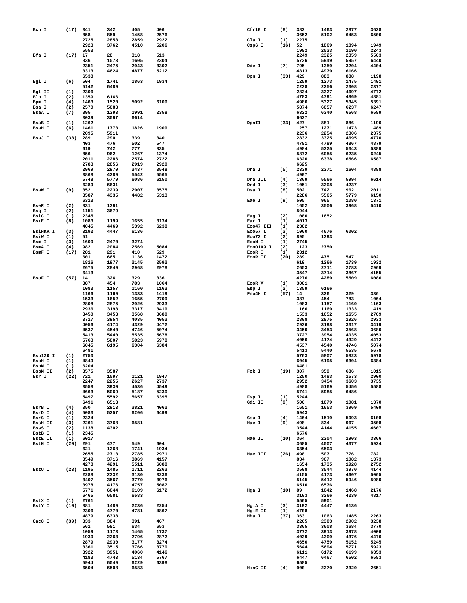| Bcn I            | (17)        | 341          | 342          | 405          | 406          | Cfr10 I              | (8)         | 382          | 1463         | 2877         | 3628         |
|------------------|-------------|--------------|--------------|--------------|--------------|----------------------|-------------|--------------|--------------|--------------|--------------|
|                  |             | 858          | 859          | 1458         | 2576         |                      |             | 3652         | 5102         | 6453         | 6506         |
|                  |             | 2725<br>2923 | 2858         | 2859<br>4510 | 2922         | Cla I                | (1)         | 2275         |              |              | 1949         |
|                  |             | 5553         | 3762         |              | 5206         | Csp6 I               | (16)        | 52<br>1982   | 1869<br>2033 | 1894<br>2190 | 2243         |
| Bfa I            | (17)        | 17           | 28           | 318          | 513          |                      |             | 2249         | 2325         | 2359         | 5503         |
|                  |             | 836          | 1073         | 1605         | 2304         |                      |             | 5736         | 5949         | 5957         | 6440         |
|                  |             | 2351         | 2475         | 2943         | 3302         | Dde I                | (7)         | 795          | 1359         | 3204         | 4404         |
|                  |             | 3313         | 4624         | 4877         | 5212         |                      |             | 4813         | 4979         | 6166         |              |
|                  |             | 6538         |              |              |              | Dpn I                | (33)        | 429          | 883          | 888          | 1198         |
| Bgl I            | (6)         | 504          | 1741         | 1863         | 1934         |                      |             | 1259         | 1273         | 1475         | 1491         |
|                  |             | 5142         | 6489         |              |              |                      |             | 2238         | 2256         | 2308         | 2377         |
| Bgl II<br>Blp I  | (1)<br>(2)  | 2306<br>1359 | 6166         |              |              |                      |             | 2834<br>4783 | 3327<br>4791 | 4697<br>4869 | 4772<br>4881 |
| Bpm I            | (4)         | 1463         | 1520         | 5092         | 6109         |                      |             | 4986         | 5327         | 5345         | 5391         |
| Bsa I            | (2)         | 2570         | 5083         |              |              |                      |             | 5874         | 6057         | 6237         | 6247         |
| BsaA I           | (7)         | 895          | 1393         | 1991         | 2358         |                      |             | 6322         | 6340         | 6568         | 6589         |
|                  |             | 3039         | 3097         | 6614         |              |                      |             | 6627         |              |              |              |
| BsaB I           | (1)         | 1262         |              |              |              | DpnII                | (33)        | 427          | 881          | 886          | 1196         |
| <b>BsaH I</b>    | (6)         | 1461         | 1773         | 1826         | 1909         |                      |             | 1257         | 1271         | 1473         | 1489         |
| BsaJ I           |             | 2095<br>289  | 5911<br>290  | 339          | 340          |                      |             | 2236         | 2254<br>3325 | 2306         | 2375         |
|                  | (38)        | 403          | 476          | 502          | 547          |                      |             | 2832<br>4781 | 4789         | 4695<br>4867 | 4770<br>4879 |
|                  |             | 619          | 742          | 777          | 835          |                      |             | 4984         | 5325         | 5343         | 5389         |
|                  |             | 856          | 962          | 1267         | 1374         |                      |             | 5872         | 6055         | 6235         | 6245         |
|                  |             | 2011         | 2286         | 2574         | 2722         |                      |             | 6320         | 6338         | 6566         | 6587         |
|                  |             | 2783         | 2856         | 2919         | 2920         |                      |             | 6625         |              |              |              |
|                  |             | 2969         | 2970         | 3437         | 3548         | Dra I                | (5)         | 2339         | 2371         | 2604         | 4888         |
|                  |             | 3868         | 4289         | 5542         | 5565         |                      |             | 4907         |              |              |              |
|                  |             | 5748<br>6289 | 5779<br>6631 | 6086         | 6150         | Dra III<br>Drd I     | (4)         | 1369         | 5566<br>3208 | 5994<br>4237 | 6614         |
| BsaW I           | (9)         | 352          | 2239         | 2907         | 3575         | Dsa I                | (3)<br>(8)  | 1051<br>502  | 742          | 962          | 2011         |
|                  |             | 3587         | 4335         | 4482         | 5313         |                      |             | 2286         | 5565         | 5779         | 6150         |
|                  |             | 6323         |              |              |              | Eae I                | (9)         | 505          | 965          | 1080         | 1371         |
| <b>BseR I</b>    | (2)         | 831          | 1391         |              |              |                      |             | 1652         | 3506         | 3968         | 5410         |
| Bsg I            | (2)         | 1151         | 3679         |              |              |                      |             | 5944         |              |              |              |
| BsiC I           | (1)         | 2345         |              |              |              | Eag I                | (2)         | 1080         | 1652         |              |              |
| BsiE I           | (8)         | 1083         | 1199         | 1655         | 3134         | Ear I                | (1)         | 4013         |              |              |              |
| <b>BSiHKA I</b>  | (3)         | 4045<br>3192 | 4469<br>4447 | 5392<br>6136 | 6238         | Eco47 III<br>Eco57 I | (1)<br>(3)  | 2302<br>1060 | 4676         | 6002         |              |
| BsiW I           | (1)         | 51           |              |              |              | Eco72 I              | (2)         | 895          | 1393         |              |              |
| Bsm I            | (3)         | 1600         | 2470         | 3274         |              | ECON I               | (1)         | 2745         |              |              |              |
| BsmA I           | (4)         | 982          | 2084         | 2569         | 5084         | Eco0109 I            | (2)         | 1123         | 2750         |              |              |
| BsmF I           | (17)        | 281          | 291          | 410          | 529          | ECOR I               | (1)         | 2312         |              |              |              |
|                  |             | 601          | 665          | 1136         | 1472         | ECOR II              | (20)        | 289          | 475          | 547          | 602          |
|                  |             | 1826         | 1977         | 2145         | 2592         |                      |             | 619          | 1266         | 1739         | 1932         |
|                  |             | 2675<br>6413 | 2849         | 2968         | 2978         |                      |             | 2653<br>3547 | 2711<br>3714 | 2783<br>3867 | 2969<br>4155 |
| BsoF I           | (57)        | 14           | 326          | 329          | 336          |                      |             | 4276         | 4289         | 5509         | 6086         |
|                  |             | 387          | 454          | 783          | 1064         | ECOR V               | (1)         | 3001         |              |              |              |
|                  |             | 1083         | 1157         | 1160         | 1163         | Esp I                | (2)         | 1359         | 6166         |              |              |
|                  |             | 1166         | 1169         | 1333         | 1419         | Fnu4H I              | (57)        | 14           | 326          | 329          | 336          |
|                  |             | 1533<br>2808 | 1652<br>2875 | 1655<br>2926 | 2709<br>2933 |                      |             | 387<br>1083  | 454<br>1157  | 783<br>1160  | 1064<br>1163 |
|                  |             | 2936         | 3198         | 3317         | 3419         |                      |             | 1166         | 1169         | 1333         | 1419         |
|                  |             | 3450         | 3453         | 3568         | 3680         |                      |             | 1533         | 1652         | 1655         | 2709         |
|                  |             | 3727         | 3954         | 4035         | 4053         |                      |             | 2808         | 2875         | 2926         | 2933         |
|                  |             | 4056         | 4174         | 4329         | 4472         |                      |             | 2936         | 3198         | 3317         | 3419         |
|                  |             | 4537<br>5413 | 4540<br>5440 | 4746<br>5535 | 5074<br>5678 |                      |             | 3450<br>3727 | 3453<br>3954 | 3568<br>4035 | 3680<br>4053 |
|                  |             | 5763         | 5807         | 5823         | 5978         |                      |             | 4056         | 4174         | 4329         | 4472         |
|                  |             | 6045         | 6195         | 6304         | 6384         |                      |             | 4537         | 4540         | 4746         | 5074         |
|                  |             | 6481         |              |              |              |                      |             | 5413         | 5440         | 5535         | 5678         |
| Bsp120 I         | (1)         | 2750         |              |              |              |                      |             | 5763         | 5807         | 5823         | 5978         |
| BspH I<br>BspM I | (1)<br>(1)  | 4849<br>6204 |              |              |              |                      |             | 6045<br>6481 | 6195         | 6304         | 6384         |
| BspM II          | (2)         | 3575         | 3587         |              |              | Fok I                | (19)        | 307          | 359          | 686          | 1015         |
| Bsr I            | (22)        | 721          | 1097         | 1121         | 1947         |                      |             | 1250         | 1483         | 2573         | 2900         |
|                  |             | 2247         | 2255         | 2627         | 2737         |                      |             | 2952         | 3454         | 3603         | 3735         |
|                  |             | 3558         | 3930         | 4536         | 4549         |                      |             | 4988         | 5169         | 5456         | 5588         |
|                  |             | 4663         | 5069         | 5187         | 5230         |                      |             | 5741         | 5985         | 6486         |              |
|                  |             | 5497<br>6491 | 5592<br>6513 | 5657         | 6395         | Fsp I<br>Gdi II      | (1)<br>(9)  | 5244<br>506  | 1079         | 1081         | 1370         |
| BsrB I           | (4)         | 350          | 2913         | 3821         | 4062         |                      |             | 1651         | 1653         | 3969         | 5409         |
| BsrD I           | (4)         | 5083         | 5257         | 6206         | 6499         |                      |             | 5943         |              |              |              |
| BsrG I           | (1)         | 2324         |              |              |              |                      |             |              |              | 5093         | 6108         |
| BssH II          |             |              |              |              |              | Gsu I                | (4)         | 1464         | 1519         |              |              |
|                  | (3)         | 2261         | 3768         | 6581         |              | Hae I                | (9)         | 498          | 834          | 967          | 3508         |
| BssS I           | (2)         | 1138         | 4302         |              |              |                      |             | 3544         | 4144         | 4155         | 4607         |
| BstB I           | (1)         | 2345         |              |              |              |                      |             | 6576         |              |              |              |
| <b>BstE II</b>   | (1)<br>(20) | 6017<br>291  | 477          | 549          | 604          | Hae II               | (10)        | 364<br>3685  | 2304<br>4007 | 2903<br>4377 | 3366         |
| BstN I           |             | 621          | 1268         | 1741         | 1934         |                      |             | 6354         | 6503         |              | 5924         |
|                  |             | 2655         | 2713         | 2785         | 2971         | Hae III              | (26)        | 498          | 507          | 776          | 782          |
|                  |             | 3549         | 3716         | 3869         | 4157         |                      |             | 834          | 967          | 1082         | 1373         |
|                  |             | 4278         | 4291         | 5511         | 6088         |                      |             | 1654         | 1735         | 1928         | 2752         |
| BstU I           | (23)        | 1195         | 1485         | 1711         | 2263         |                      |             | 3508         | 3544         | 3970         | 4144         |
|                  |             | 2288         | 2332         | 3130         | 3236         |                      |             | 4155         | 4173         | 4607         | 5065         |
|                  |             | 3407<br>3978 | 3567<br>4176 | 3770<br>4757 | 3976<br>5087 |                      |             | 5145<br>6510 | 5412<br>6576 | 5946         | 5980         |
|                  |             | 5771         | 6044         | 6109         | 6172         | Hga I                | (10)        | 89           | 1042         | 1468         | 2176         |
|                  |             | 6465         | 6581         | 6583         |              |                      |             | 3103         | 3266         | 4239         | 4817         |
| BstX I           | (1)         | 2761         |              |              |              |                      |             | 5565         | 5901         |              |              |
| BstY I           | (10)        | 881          | 1489         | 2236         | 2254         | HgiA I               | (3)         | 3192         | 4447         | 6136         |              |
|                  |             | 2306<br>4879 | 4770<br>6338 | 4781         | 4867         | HgiE II<br>Hha I     | (1)<br>(37) | 4708         | 1063         | 1485         | 2263         |
| Cac8 I           | (39)        | 333          | 384          | 391          | 467          |                      |             | 363<br>2265  | 2303         | 2902         | 3238         |
|                  |             | 562          | 581          | 634          | 653          |                      |             | 3365         | 3608         | 3684         | 3770         |
|                  |             | 1059         | 1173         | 1465         | 1737         |                      |             | 3772         | 3913         | 3978         | 4006         |
|                  |             | 1930         | 2263         | 2796         | 2872         |                      |             | 4039         | 4309         | 4376         | 4476         |
|                  |             | 2879         | 2930         | 3177         | 3274         |                      |             | 4650         | 4759         | 5152         | 5245         |
|                  |             | 3361         | 3515         | 3766         | 3770         |                      |             | 5644         | 5694         | 5771         | 5923         |
|                  |             | 3922<br>4183 | 3951<br>4743 | 4060<br>5134 | 4146<br>5767 |                      |             | 6111<br>6447 | 6172<br>6467 | 6199<br>6502 | 6353<br>6583 |
|                  |             | 5944<br>6504 | 6049<br>6508 | 6229<br>6583 | 6398         | HinC II              | (4)         | 6585<br>900  | 2270         | 2320         | 2651         |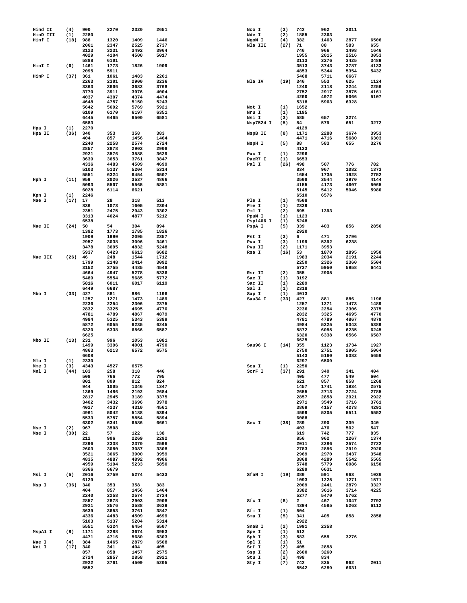| Hind II         | (4)         | 900          | 2270         | 2320         | 2651         | Nco I             | (3)         | 742          | 962          | 2011         |              |
|-----------------|-------------|--------------|--------------|--------------|--------------|-------------------|-------------|--------------|--------------|--------------|--------------|
| HinD III        | (1)         | 2280         |              |              |              | Nde I             | (2)         | 1885         | 2363         |              |              |
| Hinf I          | (18)        | 988<br>2061  | 1320<br>2347 | 1409<br>2525 | 1446<br>2737 | NgoM <sub>I</sub> | (4)<br>(27) | 382<br>71    | 1463<br>88   | 2877<br>583  | 6506<br>655  |
|                 |             | 3123         | 3231         | 3492         | 3964         | Nla III           |             | 746          | 966          | 1498         | 1646         |
|                 |             | 4029         | 4104         | 4500         | 5017         |                   |             | 1955         | 2015         | 2516         | 3053         |
|                 |             | 5888         | 6101         |              |              |                   |             | 3113         | 3276         | 3425         | 3489         |
| HinI I          | (6)         | 1461         | 1773         | 1826         | 1909         |                   |             | 3513         | 3743         | 3787         | 4133         |
| HinP I          | (37)        | 2095<br>361  | 5911<br>1061 | 1483         | 2261         |                   |             | 4853<br>5468 | 5344<br>5711 | 5354<br>6667 | 5432         |
|                 |             | 2263         | 2301         | 2900         | 3236         | Nla IV            | (19)        | 346          | 553          | 625          | 1124         |
|                 |             | 3363         | 3606         | 3682         | 3768         |                   |             | 1240         | 2118         | 2244         | 2256         |
|                 |             | 3770         | 3911         | 3976         | 4004         |                   |             | 2752         | 2917         | 3875         | 4161         |
|                 |             | 4037<br>4648 | 4307<br>4757 | 4374<br>5150 | 4474<br>5243 |                   |             | 4200<br>5318 | 4972<br>5963 | 5066<br>6328 | 5107         |
|                 |             | 5642         | 5692         | 5769         | 5921         | Not I             | (1)         | 1652         |              |              |              |
|                 |             | 6109         | 6170         | 6197         | 6351         | Nru I             | (1)         | 1195         |              |              |              |
|                 |             | 6445         | 6465         | 6500         | 6581         | Nsi I             | (3)         | 585          | 657          | 3274         |              |
|                 |             | 6583         |              |              |              | Nsp7524 I         | (5)         | 84           | 579          | 651          | 3272         |
| Hpa I<br>Hpa II | (1)<br>(36) | 2270<br>340  | 353          | 358          | 383          | NspB II           | (8)         | 4129<br>1171 | 2288         | 3674         | 3953         |
|                 |             | 404          | 857          | 1456         | 1464         |                   |             | 4471         | 4716         | 5680         | 6303         |
|                 |             | 2240         | 2258         | 2574         | 2724         | NspH I            | (5)         | 88           | 583          | 655          | 3276         |
|                 |             | 2857         | 2878         | 2903         | 2908         |                   |             | 4133         |              |              |              |
|                 |             | 2921<br>3639 | 3576<br>3653 | 3588<br>3761 | 3629<br>3847 | Pac I<br>PaeR7 I  | (1)<br>(1)  | 2296<br>6653 |              |              |              |
|                 |             | 4336         | 4483         | 4509         | 4699         | Pal I             | (26)        | 498          | 507          | 776          | 782          |
|                 |             | 5103         | 5137         | 5204         | 5314         |                   |             | 834          | 967          | 1082         | 1373         |
|                 |             | 5551         | 6324         | 6454         | 6507         |                   |             | 1654         | 1735         | 1928         | 2752         |
| Hph I           | (11)        | 959<br>5093  | 2026<br>5507 | 3537<br>5565 | 4866<br>5881 |                   |             | 3508<br>4155 | 3544<br>4173 | 3970<br>4607 | 4144<br>5065 |
|                 |             | 6028         | 6114         | 6621         |              |                   |             | 5145         | 5412         | 5946         | 5980         |
| Kpn I           | (1)         | 2246         |              |              |              |                   |             | 6510         | 6576         |              |              |
| Mae I           | (17)        | 17           | 28           | 318          | 513          | Ple I             | (1)         | 4508         |              |              |              |
|                 |             | 836          | 1073         | 1605         | 2304         | Pme I             | (1)         | 2339         |              |              |              |
|                 |             | 2351<br>3313 | 2475<br>4624 | 2943<br>4877 | 3302<br>5212 | Pml I<br>PpuM I   | (2)<br>(1)  | 895<br>1123  | 1393         |              |              |
|                 |             | 6538         |              |              |              | Psp1406 I         | (1)         | 5248         |              |              |              |
| Mae II          | (24)        | 50           | 54           | 304          | 894          | PspA I            | (5)         | 339          | 403          | 856          | 2856         |
|                 |             | 1392         | 1773         | 1785         | 1826         |                   |             | 2920         |              |              |              |
|                 |             | 1909<br>2957 | 1990<br>3038 | 2095<br>3096 | 2357<br>3461 | Pst I<br>Pvu I    | (3)<br>(3)  | 6<br>1199    | 471<br>5392  | 2796<br>6238 |              |
|                 |             | 3478         | 3695         | 4832         | 5248         | Pvu II            | (2)         | 1171         | 3953         |              |              |
|                 |             | 5937         | 6423         | 6613         | 6682         | Rsa I             | (16)        | 53           | 1870         | 1895         | 1950         |
| Mae III         | (26)        | 46           | 248          | 1544         | 1712         |                   |             | 1983         | 2034         | 2191         | 2244         |
|                 |             | 1799         | 2148         | 2414         | 3092         |                   |             | 2250         | 2326         | 2360         | 5504         |
|                 |             | 3152<br>4664 | 3755<br>4947 | 4485<br>5278 | 4548<br>5336 | Rsr II            | (2)         | 5737<br>355  | 5950<br>2905 | 5958         | 6441         |
|                 |             | 5489         | 5554         | 5685         | 5772         | Sac I             | (1)         | 3192         |              |              |              |
|                 |             | 5816         | 6011         | 6017         | 6119         | Sac II            | (1)         | 2289         |              |              |              |
|                 |             | 6449         | 6687         |              |              | Sal I             | (1)         | 2318         |              |              |              |
| Mbo I           | (33)        | 427<br>1257  | 881<br>1271  | 886<br>1473  | 1196<br>1489 | Sap I<br>Sau3A I  | (1)<br>(33) | 4013<br>427  | 881          | 886          | 1196         |
|                 |             | 2236         | 2254         | 2306         | 2375         |                   |             | 1257         | 1271         | 1473         | 1489         |
|                 |             | 2832         | 3325         | 4695         | 4770         |                   |             | 2236         | 2254         | 2306         | 2375         |
|                 |             | 4781         | 4789         | 4867         | 4879         |                   |             | 2832         | 3325         | 4695         | 4770         |
|                 |             | 4984<br>5872 | 5325<br>6055 | 5343<br>6235 | 5389<br>6245 |                   |             | 4781<br>4984 | 4789<br>5325 | 4867<br>5343 | 4879<br>5389 |
|                 |             | 6320         | 6338         | 6566         | 6587         |                   |             | 5872         | 6055         | 6235         | 6245         |
|                 |             | 6625         |              |              |              |                   |             | 6320         | 6338         | 6566         | 6587         |
| Mbo II          | (13)        | 231          | 996          | 1053         | 1081         |                   |             | 6625         |              |              |              |
|                 |             | 1499<br>4863 | 3396<br>6213 | 4001<br>6572 | 4790<br>6575 | Sau96 I           | (14)        | 355<br>2750  | 1123<br>2751 | 1734<br>2905 | 1927<br>5064 |
|                 |             | 6608         |              |              |              |                   |             | 5143         | 5160         | 5382         | 5656         |
| Mlu I           | (1)         | 2330         |              |              |              |                   |             | 6297         | 6509         |              |              |
| Mme I           | (3)         | 4343         | 4527         | 6575         |              | Sca I             | (1)         | 2250         |              |              |              |
| Mnl I           | (44)        | 103<br>508   | 258<br>766   | 318<br>772   | 446<br>795   | ScrF I            | (37)        | 291<br>405   | 340<br>477   | 341<br>549   | 404<br>604   |
|                 |             | 801          | 809          | 812          | 824          |                   |             | 621          | 857          | 858          | 1268         |
|                 |             | 944          | 1005         | 1346         | 1347         |                   |             | 1457         | 1741         | 1934         | 2575         |
|                 |             | 1369         | 1486         | 2192         | 2684         |                   |             | 2655         | 2713         | 2724         | 2785         |
|                 |             | 2817<br>3402 | 2945<br>3432 | 3189<br>3696 | 3375<br>3978 |                   |             | 2857<br>2971 | 2858<br>3549 | 2921<br>3716 | 2922<br>3761 |
|                 |             | 4027         | 4237         | 4310         | 4561         |                   |             | 3869         | 4157         | 4278         | 4291         |
|                 |             | 4961         | 5042         | 5188         | 5394         |                   |             | 4509         | 5205         | 5511         | 5552         |
|                 |             | 5533         | 5757         | 5854         | 5894         |                   |             | 6088         |              |              |              |
| Msc I           | (2)         | 6302<br>967  | 6341<br>3508 | 6586         | 6661         | Sec I             | (38)        | 289<br>403   | 290<br>476   | 339<br>502   | 340<br>547   |
| Mse I           | (30)        | 22           | 57           | 122          | 138          |                   |             | 619          | 742          | 777          | 835          |
|                 |             | 212          | 906          | 2269         | 2292         |                   |             | 856          | 962          | 1267         | 1374         |
|                 |             | 2296         | 2338         | 2370         | 2596         |                   |             | 2011         | 2286         | 2574         | 2722         |
|                 |             | 2603<br>3521 | 3080<br>3665 | 3087<br>3900 | 3308<br>3959 |                   |             | 2783<br>2969 | 2856<br>2970 | 2919<br>3437 | 2920<br>3548 |
|                 |             | 4835         | 4887         | 4892         | 4906         |                   |             | 3868         | 4289         | 5542         | 5565         |
|                 |             | 4959         | 5194         | 5233         | 5850         |                   |             | 5748         | 5779         | 6086         | 6150         |
|                 |             | 6366         | 6679         |              |              |                   |             | 6289         | 6631         |              |              |
| Msl I           | (5)         | 2016<br>6129 | 2759         | 5274         | 5433         | SfaN I            | (19)        | 380<br>1093  | 591<br>1225  | 663<br>1271  | 1036<br>1571 |
| Msp I           | (36)        | 340          | 353          | 358          | 383          |                   |             | 2009         | 2441         | 2879         | 3327         |
|                 |             | 404          | 857          | 1456         | 1464         |                   |             | 3382         | 3616         | 3714         | 4225         |
|                 |             | 2240         | 2258         | 2574         | 2724         |                   |             | 5277         | 5470         | 5762         |              |
|                 |             | 2857<br>2921 | 2878         | 2903<br>3588 | 2908<br>3629 | Sfc I             | (8)         | 2<br>4394    | 467          | 1047         | 2792<br>6112 |
|                 |             | 3639         | 3576<br>3653 | 3761         | 3847         | Sfi I             | (1)         | 504          | 4585         | 5263         |              |
|                 |             | 4336         | 4483         | 4509         | 4699         | Sma I             | (5)         | 341          | 405          | 858          | 2858         |
|                 |             | 5103         | 5137         | 5204         | 5314         |                   |             | 2922         |              |              |              |
| MspA1 I         | (8)         | 5551         | 6324         | 6454<br>3674 | 6507<br>3953 | SnaB I            | (2)         | 1991         | 2358         |              |              |
|                 |             | 1171<br>4471 | 2288<br>4716 | 5680         | 6303         | Spe I<br>Sph I    | (1)<br>(3)  | 512<br>583   | 655          | 3276         |              |
| Nae I           | (4)         | 384          | 1465         | 2879         | 6508         | Spl I             | (1)         | 51           |              |              |              |
| Nci I           | (17)        | 340          | 341          | 404          | 405          | Srf I             | (2)         | 405          | 2858         |              |              |
|                 |             | 857          | 858          | 1457         | 2575         | Ssp I             | (2)         | 2600         | 3260         |              |              |
|                 |             | 2724<br>2922 | 2857<br>3761 | 2858<br>4509 | 2921<br>5205 | Stu I<br>Sty I    | (2)<br>(7)  | 498<br>742   | 834<br>835   | 962          | 2011         |
|                 |             | 5552         |              |              |              |                   |             | 5542         | 6289         | 6631         |              |